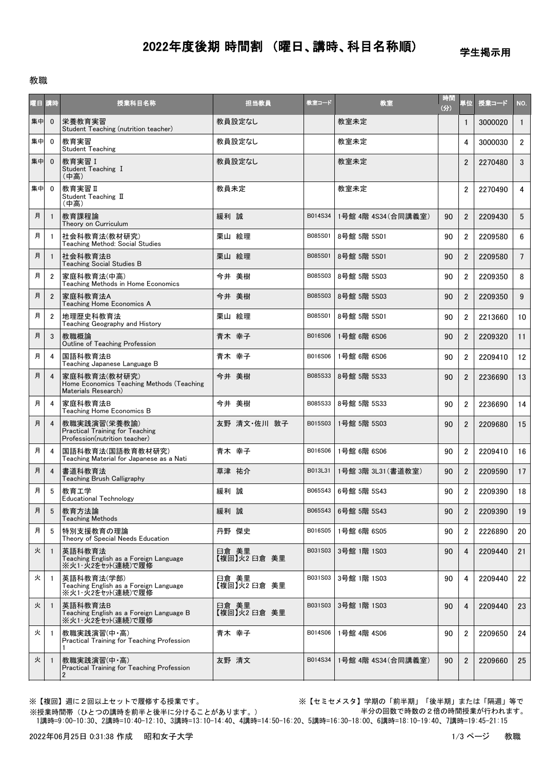## 2022年度後期 時間割 (曜日、講時、科目名称順)

学生掲示用

教職

| 曜日 講時 |                | 授業科目名称                                                                                  | 担当教員                  | 教室コード   | 教室                  | 時間<br>(分) | 単位             | 授業コード   | NO.             |
|-------|----------------|-----------------------------------------------------------------------------------------|-----------------------|---------|---------------------|-----------|----------------|---------|-----------------|
| 集中    | $\mathbf{0}$   | 栄養教育実習<br>Student Teaching (nutrition teacher)                                          | 教員設定なし                |         | 教室未定                |           | $\mathbf{1}$   | 3000020 | $\mathbf{1}$    |
| 集中    | $\mathbf{0}$   | 教育実習<br><b>Student Teaching</b>                                                         | 教員設定なし                |         | 教室未定                |           | 4              | 3000030 | $2^{\circ}$     |
| 集中    | $\Omega$       | 教育実習 I<br>Student Teaching I<br>(中高)                                                    | 教員設定なし                |         | 教室未定                |           | $\overline{2}$ | 2270480 | 3 <sup>1</sup>  |
| 集中    | $\Omega$       | 教育実習 II<br>Student Teaching II<br>(中高)                                                  | 教員未定                  |         | 教室未定                |           | $\overline{2}$ | 2270490 | $\overline{4}$  |
| 月     |                | 教育課程論<br>Theory on Curriculum                                                           | 緩利 誠                  | B014S34 | 1号館 4階 4S34 (合同講義室) | 90        | $\overline{2}$ | 2209430 | $5\overline{)}$ |
| 月     |                | 社会科教育法(教材研究)<br>Teaching Method: Social Studies                                         | 栗山 絵理                 | B085S01 | 8号館 5階 5S01         | 90        | $\overline{2}$ | 2209580 | 6               |
| 月     |                | 社会科教育法B<br>Teaching Social Studies B                                                    | 栗山 絵理                 | B085S01 | 8号館 5階 5S01         | 90        | $\overline{2}$ | 2209580 | $7\overline{ }$ |
| 月     | $\overline{2}$ | 家庭科教育法(中高)<br>Teaching Methods in Home Economics                                        | 今井 美樹                 | B085S03 | 8号館 5階 5S03         | 90        | $\overline{2}$ | 2209350 | 8               |
| 月     | $\overline{2}$ | 家庭科教育法A<br>Teaching Home Economics A                                                    | 今井 美樹                 | B085S03 | 8号館 5階 5S03         | 90        | $\overline{2}$ | 2209350 | $9^{\circ}$     |
| 月     | $\overline{2}$ | 地理歴史科教育法<br>Teaching Geography and History                                              | 栗山 絵理                 | B085S01 | 8号館 5階 5S01         | 90        | $\overline{2}$ | 2213660 | 10              |
| 月     | 3              | 教職概論<br>Outline of Teaching Profession                                                  | 青木 幸子                 | B016S06 | 1号館 6階 6S06         | 90        | $\overline{2}$ | 2209320 | 11              |
| 月     | 4              | 国語科教育法B<br>Teaching Japanese Language B                                                 | 青木 幸子                 | B016S06 | 1号館 6階 6S06         | 90        | $\overline{2}$ | 2209410 | 12              |
| 月     | 4              | 家庭科教育法(教材研究)<br>Home Economics Teaching Methods (Teaching<br>Materials Research)        | 今井 美樹                 | B085S33 | 8号館 5階 5S33         | 90        | $\overline{2}$ | 2236690 | 13              |
| 月     | 4              | 家庭科教育法B<br>Teaching Home Economics B                                                    | 今井 美樹                 | B085S33 | 8号館 5階 5S33         | 90        | $\overline{2}$ | 2236690 | 14              |
| 月     | $\overline{4}$ | 教職実践演習(栄養教諭)<br><b>Practical Training for Teaching</b><br>Profession(nutrition teacher) | 友野 清文·佐川 敦子           | B015S03 | 1号館 5階 5S03         | 90        | $\overline{2}$ | 2209680 | 15              |
| 月     | 4              | 国語科教育法(国語教育教材研究)<br>Teaching Material for Japanese as a Nati                            | 青木 幸子                 | B016S06 | 1号館 6階 6S06         | 90        | $\overline{2}$ | 2209410 | 16              |
| 月     | 4              | 書道科教育法<br>Teaching Brush Calligraphy                                                    | 草津 祐介                 | B013L31 | 1号館 3階 3L31 (書道教室)  | 90        | $\overline{2}$ | 2209590 | 17              |
| 月     | 5              | 教育工学<br><b>Educational Technology</b>                                                   | 緩利 誠                  | B065S43 | 6号館 5階 5S43         | 90        | $\overline{2}$ | 2209390 | 18              |
| 月     | 5              | 教育方法論<br><b>Teaching Methods</b>                                                        | 緩利 誠                  | B065S43 | 6号館 5階 5S43         | 90        | $\overline{2}$ | 2209390 | 19              |
| 月     | 5              | 特別支援教育の理論<br>Theory of Special Needs Education                                          | 丹野 傑史                 | B016S05 | 1号館 6階 6S05         | 90        | $\overline{2}$ | 2226890 | 20              |
| 火     | -1             | 英語科教育法<br>Teaching English as a Foreign Language<br>※火1・火2をセット(連続)で履修                   | 臼倉 美里<br>【複回】火2 臼倉 美里 | B031S03 | 3号館 1階 1S03         | 90        | 4              | 2209440 | 21              |
| 火     | -1             | 英語科教育法(学部)<br>Teaching English as a Foreign Language<br>※火1・火2をセット(連続)で履修               | 臼倉 美里<br>【複回】火2 臼倉 美里 | B031S03 | 3号館 1階 1S03         | 90        | 4              | 2209440 | 22              |
| 火     | -1             | 英語科教育法B<br>Teaching English as a Foreign Language B<br>※火1・火2をセット(連続)で履修                | 臼倉 美里<br>【複回】火2 臼倉 美里 | B031S03 | 3号館 1階 1S03         | 90        | $\overline{4}$ | 2209440 | 23              |
| 火     |                | 教職実践演習(中・高)<br>Practical Training for Teaching Profession<br>1                          | 青木 幸子                 | B014S06 | 1号館 4階 4S06         | 90        | $\overline{2}$ | 2209650 | 24              |
| 火     |                | 教職実践演習(中・高)<br>Practical Training for Teaching Profession<br>2                          | 友野 清文                 | B014S34 | 1号館 4階 4S34(合同講義室)  | 90        | $\overline{2}$ | 2209660 | 25              |

※【複回】週に2回以上セットで履修する授業です。 ※【セミセメスタ】学期の「前半期」「後半期」または「隔週」等で 半分の回数で時数の2倍の時間授業が行われます。

 1講時=9:00-10:30、2講時=10:40-12:10、3講時=13:10-14:40、4講時=14:50-16:20、5講時=16:30-18:00、6講時=18:10-19:40、7講時=19:45-21:15 ※授業時間帯(ひとつの講時を前半と後半に分けることがあります。)

2022年06月25日 0:31:38 作成 昭和女子大学 1/3 ページ 教職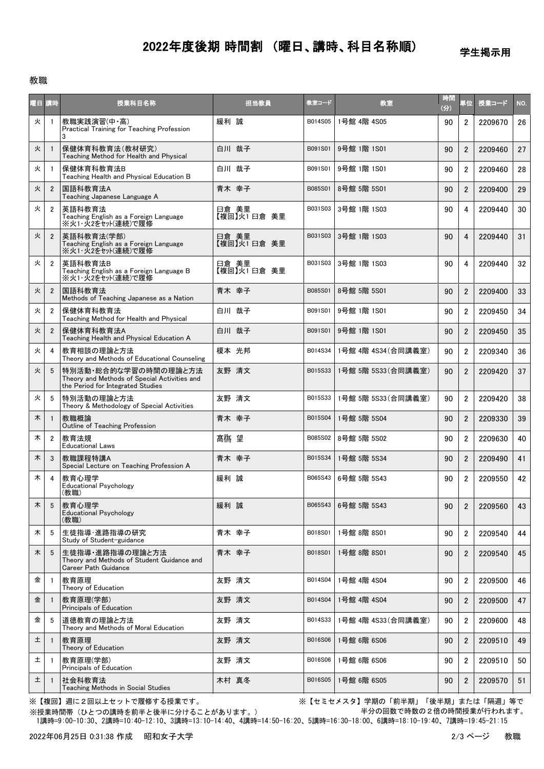## 2022年度後期 時間割 (曜日、講時、科目名称順)

学生掲示用

## 教職

| 曜日 講時   |                 | 授業科目名称                                                                                                    | 担当教員                 | 教室コード   | 教室                  | 時間<br>(分) | 単位             | 授業コード   | NO.             |
|---------|-----------------|-----------------------------------------------------------------------------------------------------------|----------------------|---------|---------------------|-----------|----------------|---------|-----------------|
| 火       |                 | 教職実践演習(中·高)<br>Practical Training for Teaching Profession<br>3                                            | 緩利 誠                 | B014S05 | 1号館 4階 4S05         | 90        | $\overline{2}$ | 2209670 | 26              |
| 火       |                 | 保健体育科教育法(教材研究)<br>Teaching Method for Health and Physical                                                 | 白川 哉子                | B091S01 | 9号館 1階 1S01         | 90        | $\overline{2}$ | 2209460 | 27              |
| 火       | -1              | 保健体育科教育法B<br>Teaching Health and Physical Education B                                                     | 白川 哉子                | B091S01 | 9号館 1階 1S01         | 90        | $\overline{2}$ | 2209460 | 28              |
| 火       | $\overline{2}$  | 国語科教育法A<br>Teaching Japanese Language A                                                                   | 青木 幸子                | B085S01 | 8号館 5階 5S01         | 90        | $\overline{2}$ | 2209400 | 29              |
| 火       | $\overline{2}$  | 英語科教育法<br>Teaching English as a Foreign Language<br>※火1・火2をセット(連続)で履修                                     | 臼倉 美里<br>【複回】火1日倉 美里 | B031S03 | 3号館 1階 1S03         | 90        | 4              | 2209440 | 30              |
| 火       | $\overline{2}$  | 英語科教育法(学部)<br>Teaching English as a Foreign Language<br>※火1・火2をセット(連続)で履修                                 | 臼倉 美里<br>【複回】火1日倉 美里 | B031S03 | 3号館 1階 1S03         | 90        | 4              | 2209440 | 31              |
| 火       | $\overline{2}$  | 英語科教育法B<br>Teaching English as a Foreign Language B<br>※火1・火2をセット(連続)で履修                                  | 臼倉 美里<br>【複回】火1日倉 美里 | B031S03 | 3号館 1階 1S03         | 90        | 4              | 2209440 | 32 <sub>2</sub> |
| 火       | $\overline{2}$  | 国語科教育法<br>Methods of Teaching Japanese as a Nation                                                        | 青木 幸子                | B085S01 | 8号館 5階 5S01         | 90        | $\overline{2}$ | 2209400 | 33              |
| 火       | $\overline{2}$  | 保健体育科教育法<br>Teaching Method for Health and Physical                                                       | 白川 哉子                | B091S01 | 9号館 1階 1S01         | 90        | $\overline{2}$ | 2209450 | 34              |
| 火       | $\overline{2}$  | 保健体育科教育法A<br>Teaching Health and Physical Education A                                                     | 白川 哉子                | B091S01 | 9号館 1階 1S01         | 90        | $\overline{2}$ | 2209450 | 35              |
| 火       | 4               | 教育相談の理論と方法<br>Theory and Methods of Educational Counseling                                                | 榎本 光邦                | B014S34 | 1号館 4階 4S34 (合同講義室) | 90        | $\overline{2}$ | 2209340 | 36              |
| 火       | 5               | 特別活動・総合的な学習の時間の理論と方法<br>Theory and Methods of Special Activities and<br>the Period for Integrated Studies | 友野 清文                | B015S33 | 1号館 5階 5S33(合同講義室)  | 90        | $\overline{2}$ | 2209420 | 37              |
| 火       | 5               | 特別活動の理論と方法<br>Theory & Methodology of Special Activities                                                  | 友野 清文                | B015S33 | 1号館 5階 5S33(合同講義室)  | 90        | $\overline{2}$ | 2209420 | 38              |
| 木       |                 | 教職概論<br>Outline of Teaching Profession                                                                    | 青木 幸子                | B015S04 | 1号館 5階 5S04         | 90        | $\overline{2}$ | 2209330 | 39              |
| 木       | $\overline{2}$  | 教育法規<br><b>Educational Laws</b>                                                                           | 髙梅 望                 | B085S02 | 8号館 5階 5S02         | 90        | $\overline{2}$ | 2209630 | 40              |
| 木       | 3               | 教職課程特講A<br>Special Lecture on Teaching Profession A                                                       | 青木 幸子                | B015S34 | 1号館 5階 5S34         | 90        | $\overline{2}$ | 2209490 | 41              |
| 木       | 4               | 教育心理学<br><b>Educational Psychology</b><br>(教職)                                                            | 緩利 誠                 | B065S43 | 6号館 5階 5S43         | 90        | $\overline{2}$ | 2209550 | 42              |
| $\star$ | $5\overline{)}$ | 教育心理学<br><b>Educational Psychology</b><br>(教職)                                                            | 緩利 誠                 | B065S43 | 6号館 5階 5S43         | 90        | 2              | 2209560 | 43              |
| 木       | 5               | 生徒指導・進路指導の研究<br>Study of Student-guidance                                                                 | 青木 幸子                | B018S01 | 1号館 8階 8S01         | 90        | $\overline{2}$ | 2209540 | 44              |
| 木       | 5               | 生徒指導・進路指導の理論と方法<br>Theory and Methods of Student Guidance and<br><b>Career Path Guidance</b>              | 青木 幸子                | B018S01 | 1号館 8階 8S01         | 90        | $\overline{2}$ | 2209540 | 45              |
| 金       | -1              | 教育原理<br>Theory of Education                                                                               | 友野 清文                | B014S04 | 1号館 4階 4S04         | 90        | $\overline{2}$ | 2209500 | 46              |
| 金       |                 | 教育原理(学部)<br>Principals of Education                                                                       | 友野 清文                | B014S04 | 1号館 4階 4S04         | 90        | $\overline{2}$ | 2209500 | 47              |
| 金       | 5               | 道徳教育の理論と方法<br>Theory and Methods of Moral Education                                                       | 友野 清文                | B014S33 | 1号館 4階 4S33(合同講義室)  | 90        | $\overline{2}$ | 2209600 | 48              |
| 土       | $\mathbf{1}$    | 教育原理<br>Theory of Education                                                                               | 友野 清文                | B016S06 | 1号館 6階 6S06         | 90        | $\overline{2}$ | 2209510 | 49              |
| 土       |                 | 教育原理(学部)<br>Principals of Education                                                                       | 友野 清文                | B016S06 | 1号館 6階 6S06         | 90        | $\overline{2}$ | 2209510 | 50              |
| 土       | $\mathbf{1}$    | 社会科教育法<br>Teaching Methods in Social Studies                                                              | 木村 真冬                | B016S05 | 1号館 6階 6S05         | 90        | $\overline{2}$ | 2209570 | 51              |

※【複回】週に2回以上セットで履修する授業です。 ※【セミセメスタ】学期の「前半期」「後半期」または「隔週」等で 半分の回数で時数の2倍の時間授業が行われます。

 1講時=9:00-10:30、2講時=10:40-12:10、3講時=13:10-14:40、4講時=14:50-16:20、5講時=16:30-18:00、6講時=18:10-19:40、7講時=19:45-21:15 ※授業時間帯(ひとつの講時を前半と後半に分けることがあります。)